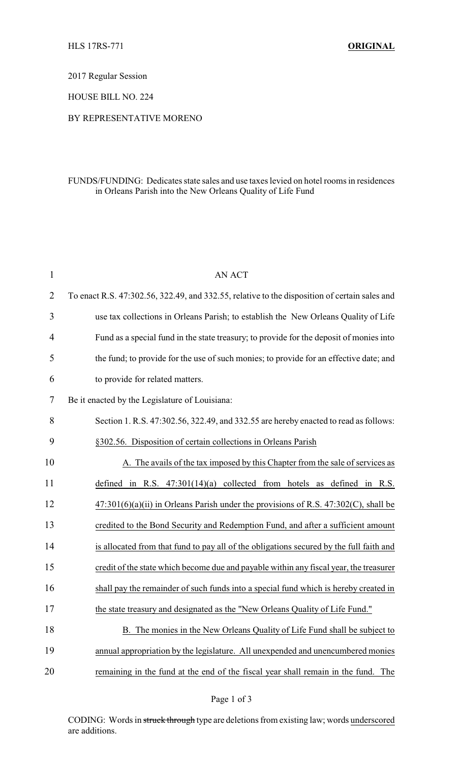2017 Regular Session

HOUSE BILL NO. 224

## BY REPRESENTATIVE MORENO

## FUNDS/FUNDING: Dedicates state sales and use taxes levied on hotel rooms in residences in Orleans Parish into the New Orleans Quality of Life Fund

| $\mathbf{1}$ | <b>AN ACT</b>                                                                                 |
|--------------|-----------------------------------------------------------------------------------------------|
| 2            | To enact R.S. 47:302.56, 322.49, and 332.55, relative to the disposition of certain sales and |
| 3            | use tax collections in Orleans Parish; to establish the New Orleans Quality of Life           |
| 4            | Fund as a special fund in the state treasury; to provide for the deposit of monies into       |
| 5            | the fund; to provide for the use of such monies; to provide for an effective date; and        |
| 6            | to provide for related matters.                                                               |
| 7            | Be it enacted by the Legislature of Louisiana:                                                |
| 8            | Section 1. R.S. 47:302.56, 322.49, and 332.55 are hereby enacted to read as follows:          |
| 9            | §302.56. Disposition of certain collections in Orleans Parish                                 |
| 10           | A. The avails of the tax imposed by this Chapter from the sale of services as                 |
| 11           | defined in R.S. $47:301(14)(a)$ collected from hotels as defined in R.S.                      |
| 12           | $47:301(6)(a)(ii)$ in Orleans Parish under the provisions of R.S. $47:302(C)$ , shall be      |
| 13           | credited to the Bond Security and Redemption Fund, and after a sufficient amount              |
| 14           | is allocated from that fund to pay all of the obligations secured by the full faith and       |
| 15           | credit of the state which become due and payable within any fiscal year, the treasurer        |
| 16           | shall pay the remainder of such funds into a special fund which is hereby created in          |
| 17           | the state treasury and designated as the "New Orleans Quality of Life Fund."                  |
| 18           | B. The monies in the New Orleans Quality of Life Fund shall be subject to                     |
| 19           | annual appropriation by the legislature. All unexpended and unencumbered monies               |
| 20           | remaining in the fund at the end of the fiscal year shall remain in the fund. The             |

CODING: Words in struck through type are deletions from existing law; words underscored are additions.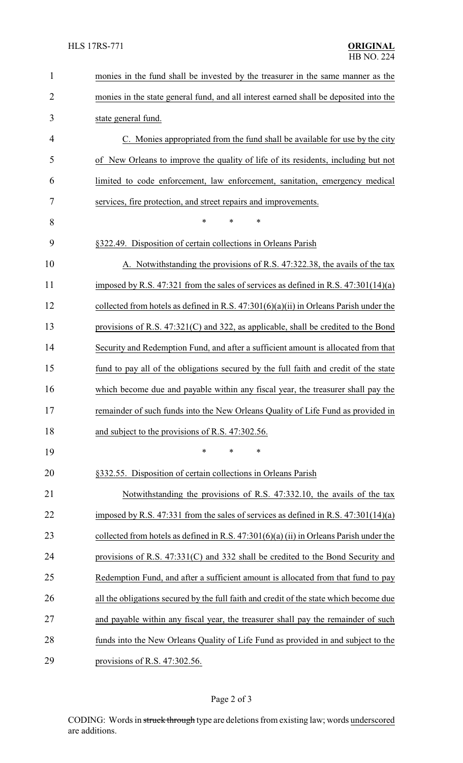| $\mathbf{1}$   | monies in the fund shall be invested by the treasurer in the same manner as the          |
|----------------|------------------------------------------------------------------------------------------|
| $\overline{2}$ | monies in the state general fund, and all interest earned shall be deposited into the    |
| 3              | state general fund.                                                                      |
| 4              | C. Monies appropriated from the fund shall be available for use by the city              |
| 5              | of New Orleans to improve the quality of life of its residents, including but not        |
| 6              | limited to code enforcement, law enforcement, sanitation, emergency medical              |
| 7              | services, fire protection, and street repairs and improvements.                          |
| 8              | $\ast$<br>*<br>$\ast$                                                                    |
| 9              | §322.49. Disposition of certain collections in Orleans Parish                            |
| 10             | A. Notwithstanding the provisions of R.S. 47:322.38, the avails of the tax               |
| 11             | imposed by R.S. 47:321 from the sales of services as defined in R.S. $47:301(14)(a)$     |
| 12             | collected from hotels as defined in R.S. $47:301(6)(a)(ii)$ in Orleans Parish under the  |
| 13             | provisions of R.S. 47:321(C) and 322, as applicable, shall be credited to the Bond       |
| 14             | Security and Redemption Fund, and after a sufficient amount is allocated from that       |
| 15             | fund to pay all of the obligations secured by the full faith and credit of the state     |
| 16             | which become due and payable within any fiscal year, the treasurer shall pay the         |
| 17             | remainder of such funds into the New Orleans Quality of Life Fund as provided in         |
| 18             | and subject to the provisions of R.S. 47:302.56.                                         |
| 19             | $\ast$<br>*<br>*                                                                         |
| 20             | §332.55. Disposition of certain collections in Orleans Parish                            |
| 21             | Notwithstanding the provisions of R.S. 47:332.10, the avails of the tax                  |
| 22             | imposed by R.S. 47:331 from the sales of services as defined in R.S. 47:301(14)(a)       |
| 23             | collected from hotels as defined in R.S. $47:301(6)(a)$ (ii) in Orleans Parish under the |
| 24             | provisions of R.S. $47:331(C)$ and 332 shall be credited to the Bond Security and        |
| 25             | Redemption Fund, and after a sufficient amount is allocated from that fund to pay        |
| 26             | all the obligations secured by the full faith and credit of the state which become due   |
| 27             | and payable within any fiscal year, the treasurer shall pay the remainder of such        |
| 28             | funds into the New Orleans Quality of Life Fund as provided in and subject to the        |
| 29             | provisions of R.S. $47:302.56$ .                                                         |